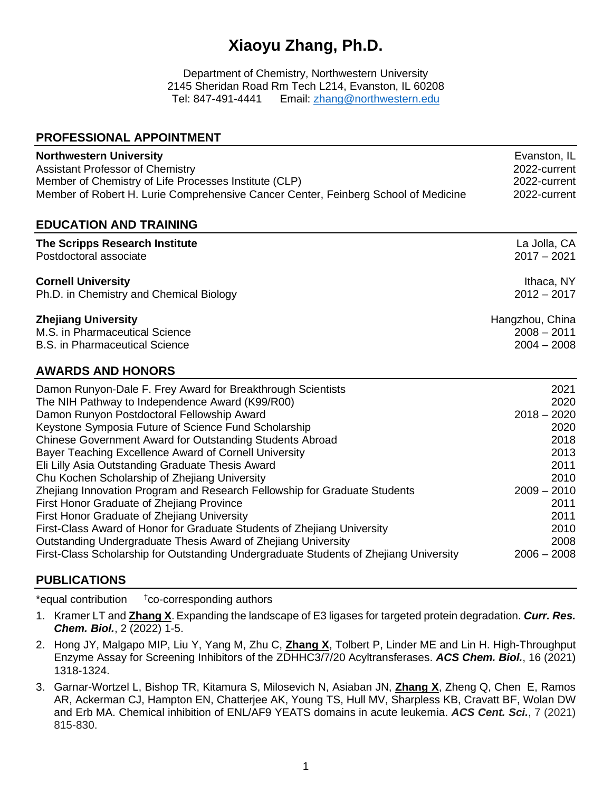# **Xiaoyu Zhang, Ph.D.**

Department of Chemistry, Northwestern University 2145 Sheridan Road Rm Tech L214, Evanston, IL 60208 Tel: 847-491-4441 Email: [zhang@northwestern.edu](mailto:zhang@northwestern.edu)

### **PROFESSIONAL APPOINTMENT**

| <b>Northwestern University</b>                                                     | Evanston, IL    |
|------------------------------------------------------------------------------------|-----------------|
| <b>Assistant Professor of Chemistry</b>                                            | 2022-current    |
| Member of Chemistry of Life Processes Institute (CLP)                              | 2022-current    |
| Member of Robert H. Lurie Comprehensive Cancer Center, Feinberg School of Medicine | 2022-current    |
| <b>EDUCATION AND TRAINING</b>                                                      |                 |
| The Scripps Research Institute                                                     | La Jolla, CA    |
| Postdoctoral associate                                                             | $2017 - 2021$   |
| <b>Cornell University</b>                                                          | Ithaca, NY      |
| Ph.D. in Chemistry and Chemical Biology                                            | $2012 - 2017$   |
| <b>Zhejiang University</b>                                                         | Hangzhou, China |
| M.S. in Pharmaceutical Science                                                     | $2008 - 2011$   |
| <b>B.S. in Pharmaceutical Science</b>                                              | $2004 - 2008$   |
| <b>AWARDS AND HONORS</b>                                                           |                 |
| Damon Runyon-Dale F. Frey Award for Breakthrough Scientists                        | 2021            |
| The NIH Pathway to Independence Award (K99/R00)                                    | 2020            |
| Damon Runyon Postdoctoral Fellowship Award                                         | $2018 - 2020$   |
| Keystone Symposia Future of Science Fund Scholarship                               | 2020            |
| Chinese Government Award for Outstanding Students Abroad                           | 2018            |
| Bayer Teaching Excellence Award of Cornell University                              | 2013            |

## Chu Kochen Scholarship of Zhejiang University<br>Zheiiang Innovation Program and Research Fellowship for Graduate Students 2009 - 2010 Zheijang Innovation Program and Research Fellowship for Graduate Students First Honor Graduate of Zhejiang Province 2011 First Honor Graduate of Zhejiang University 2011 First-Class Award of Honor for Graduate Students of Zhejiang University 2010 Outstanding Undergraduate Thesis Award of Zhejiang University 2008 First-Class Scholarship for Outstanding Undergraduate Students of Zhejiang University 2006 – 2008

## **PUBLICATIONS**

\*equal contribution †co-corresponding authors

1. Kramer LT and **Zhang X**. Expanding the landscape of E3 ligases for targeted protein degradation. *Curr. Res. Chem. Biol.*, 2 (2022) 1-5.

Eli Lilly Asia Outstanding Graduate Thesis Award 2011

- 2. Hong JY, Malgapo MIP, Liu Y, Yang M, Zhu C, **Zhang X**, Tolbert P, Linder ME and Lin H. High-Throughput Enzyme Assay for Screening Inhibitors of the ZDHHC3/7/20 Acyltransferases. *ACS Chem. Biol.*, 16 (2021) 1318-1324.
- 3. Garnar-Wortzel L, Bishop TR, Kitamura S, Milosevich N, Asiaban JN, **Zhang X**, Zheng Q, Chen E, Ramos AR, Ackerman CJ, Hampton EN, Chatterjee AK, Young TS, Hull MV, Sharpless KB, Cravatt BF, Wolan DW and Erb MA. Chemical inhibition of ENL/AF9 YEATS domains in acute leukemia. *ACS Cent. Sci.*, 7 (2021) 815-830.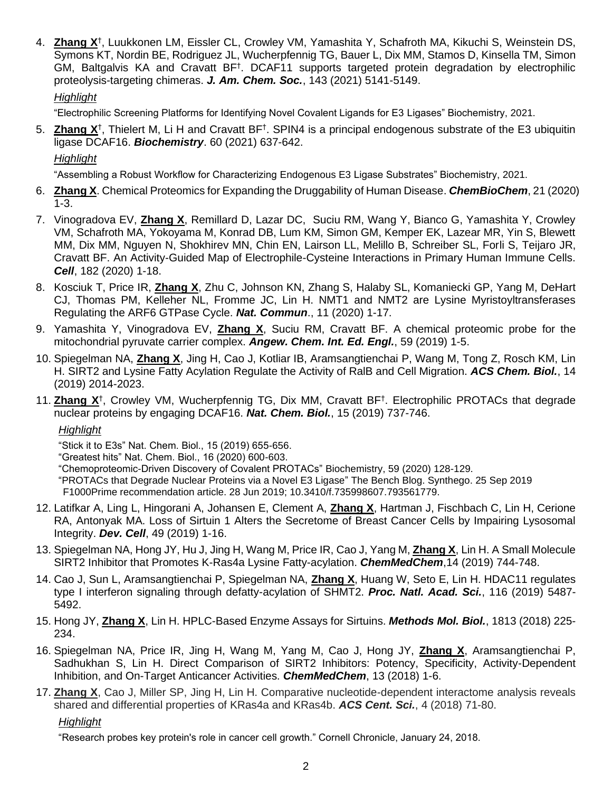4. **Zhang X**† , Luukkonen LM, Eissler CL, Crowley VM, Yamashita Y, Schafroth MA, Kikuchi S, Weinstein DS, Symons KT, Nordin BE, Rodriguez JL, Wucherpfennig TG, Bauer L, Dix MM, Stamos D, Kinsella TM, Simon GM, Baltgalvis KA and Cravatt BF<sup>†</sup>. DCAF11 supports targeted protein degradation by electrophilic proteolysis-targeting chimeras. *J. Am. Chem. Soc.*, 143 (2021) 5141-5149.

## *Highlight*

"Electrophilic Screening Platforms for Identifying Novel Covalent Ligands for E3 Ligases" Biochemistry, 2021.

5. Zhang X<sup>†</sup>, Thielert M, Li H and Cravatt BF<sup>†</sup>. SPIN4 is a principal endogenous substrate of the E3 ubiquitin ligase DCAF16. *Biochemistry*. 60 (2021) 637-642.

## *Highlight*

"Assembling a Robust Workflow for Characterizing Endogenous E3 Ligase Substrates" Biochemistry, 2021.

- 6. **Zhang X**. Chemical Proteomics for Expanding the Druggability of Human Disease. *ChemBioChem*, 21 (2020) 1-3.
- 7. Vinogradova EV, **Zhang X**, Remillard D, Lazar DC, Suciu RM, Wang Y, Bianco G, Yamashita Y, Crowley VM, Schafroth MA, Yokoyama M, Konrad DB, Lum KM, Simon GM, Kemper EK, Lazear MR, Yin S, Blewett MM, Dix MM, Nguyen N, Shokhirev MN, Chin EN, Lairson LL, Melillo B, Schreiber SL, Forli S, Teijaro JR, Cravatt BF. An Activity-Guided Map of Electrophile-Cysteine Interactions in Primary Human Immune Cells. *Cell*, 182 (2020) 1-18.
- 8. Kosciuk T, Price IR, **Zhang X**, Zhu C, Johnson KN, Zhang S, Halaby SL, Komaniecki GP, Yang M, DeHart CJ, Thomas PM, Kelleher NL, Fromme JC, Lin H. NMT1 and NMT2 are Lysine Myristoyltransferases Regulating the ARF6 GTPase Cycle. *Nat. Commun*., 11 (2020) 1-17.
- 9. Yamashita Y, Vinogradova EV, **Zhang X**, Suciu RM, Cravatt BF. A chemical proteomic probe for the mitochondrial pyruvate carrier complex. *Angew. Chem. Int. Ed. Engl.*, 59 (2019) 1-5.
- 10. Spiegelman NA, **Zhang X**, Jing H, Cao J, Kotliar IB, Aramsangtienchai P, Wang M, Tong Z, Rosch KM, Lin H. SIRT2 and Lysine Fatty Acylation Regulate the Activity of RalB and Cell Migration. *ACS Chem. Biol.*, 14 (2019) 2014-2023.
- 11. **Zhang X**† , Crowley VM, Wucherpfennig TG, Dix MM, Cravatt BF† . Electrophilic PROTACs that degrade nuclear proteins by engaging DCAF16. *Nat. Chem. Biol.*, 15 (2019) 737-746.

### *Highlight*

"Stick it to E3s" Nat. Chem. Biol., 15 (2019) 655-656.

"Greatest hits" Nat. Chem. Biol., 16 (2020) 600-603.

"Chemoproteomic-Driven Discovery of Covalent PROTACs" Biochemistry, 59 (2020) 128-129.

"PROTACs that Degrade Nuclear Proteins via a Novel E3 Ligase" The Bench Blog. Synthego. 25 Sep 2019 F1000Prime recommendation article. 28 Jun 2019; 10.3410/f.735998607.793561779.

- 12. Latifkar A, Ling L, Hingorani A, Johansen E, Clement A, **Zhang X**, Hartman J, Fischbach C, Lin H, Cerione RA, Antonyak MA. Loss of Sirtuin 1 Alters the Secretome of Breast Cancer Cells by Impairing Lysosomal Integrity. *Dev. Cell*, 49 (2019) 1-16.
- 13. Spiegelman NA, Hong JY, Hu J, Jing H, Wang M, Price IR, Cao J, Yang M, **Zhang X**, Lin H. A Small Molecule SIRT2 Inhibitor that Promotes K-Ras4a Lysine Fatty-acylation. *ChemMedChem*,14 (2019) 744-748.
- 14. Cao J, Sun L, Aramsangtienchai P, Spiegelman NA, **Zhang X**, Huang W, Seto E, Lin H. HDAC11 regulates type I interferon signaling through defatty-acylation of SHMT2. *Proc. Natl. Acad. Sci.*, 116 (2019) 5487- 5492.
- 15. Hong JY, **Zhang X**, Lin H. HPLC-Based Enzyme Assays for Sirtuins. *Methods Mol. Biol.*, 1813 (2018) 225- 234.
- 16. Spiegelman NA, Price IR, Jing H, Wang M, Yang M, Cao J, Hong JY, **Zhang X**, Aramsangtienchai P, Sadhukhan S, Lin H. Direct Comparison of SIRT2 Inhibitors: Potency, Specificity, Activity-Dependent Inhibition, and On-Target Anticancer Activities. *ChemMedChem*, 13 (2018) 1-6.
- 17. **Zhang X**, Cao J, Miller SP, Jing H, Lin H. Comparative nucleotide-dependent interactome analysis reveals shared and differential properties of KRas4a and KRas4b. *ACS Cent. Sci.*, 4 (2018) 71-80.

*Highlight*

"Research probes key protein's role in cancer cell growth." Cornell Chronicle, January 24, 2018.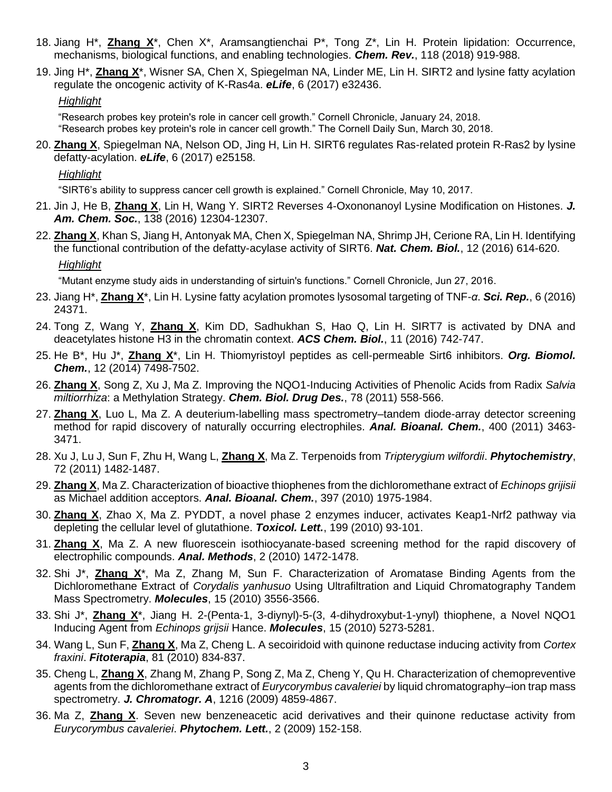- 18. Jiang H\*, **Zhang X**\*, Chen X\*, Aramsangtienchai P\*, Tong Z\*, Lin H. Protein lipidation: Occurrence, mechanisms, biological functions, and enabling technologies. *Chem. Rev.*, 118 (2018) 919-988.
- 19. Jing H\*, **Zhang X**\*, Wisner SA, Chen X, Spiegelman NA, Linder ME, Lin H. SIRT2 and lysine fatty acylation regulate the oncogenic activity of K-Ras4a. *eLife*, 6 (2017) e32436.

### *Highlight*

"Research probes key protein's role in cancer cell growth." Cornell Chronicle, January 24, 2018. "Research probes key protein's role in cancer cell growth." The Cornell Daily Sun, March 30, 2018.

20. **Zhang X**, Spiegelman NA, Nelson OD, Jing H, Lin H. SIRT6 regulates Ras-related protein R-Ras2 by lysine defatty-acylation. *eLife*, 6 (2017) e25158.

*Highlight*

"SIRT6's ability to suppress cancer cell growth is explained." Cornell Chronicle, May 10, 2017.

- 21. Jin J, He B, **Zhang X**, Lin H, Wang Y. SIRT2 Reverses 4-Oxononanoyl Lysine Modification on Histones. *J. Am. Chem. Soc.*, 138 (2016) 12304-12307.
- 22. **Zhang X**, Khan S, Jiang H, Antonyak MA, Chen X, Spiegelman NA, Shrimp JH, Cerione RA, Lin H. Identifying the functional contribution of the defatty-acylase activity of SIRT6. *Nat. Chem. Biol.*, 12 (2016) 614-620. *Highlight*

"Mutant enzyme study aids in understanding of sirtuin's functions." Cornell Chronicle, Jun 27, 2016.

- 23. Jiang H\*, **Zhang X**\*, Lin H. Lysine fatty acylation promotes lysosomal targeting of TNF-*α*. *Sci. Rep.*, 6 (2016) 24371.
- 24. Tong Z, Wang Y, **Zhang X**, Kim DD, Sadhukhan S, Hao Q, Lin H. SIRT7 is activated by DNA and deacetylates histone H3 in the chromatin context. *ACS Chem. Biol.*, 11 (2016) 742-747.
- 25. He B\*, Hu J\*, **Zhang X**\*, Lin H. Thiomyristoyl peptides as cell-permeable Sirt6 inhibitors. *Org. Biomol. Chem.*, 12 (2014) 7498-7502.
- 26. **Zhang X**, Song Z, Xu J, Ma Z. Improving the NQO1-Inducing Activities of Phenolic Acids from Radix *Salvia miltiorrhiza*: a Methylation Strategy. *Chem. Biol. Drug Des.*, 78 (2011) 558-566.
- 27. **Zhang X**, Luo L, Ma Z. A deuterium-labelling mass spectrometry–tandem diode-array detector screening method for rapid discovery of naturally occurring electrophiles. *Anal. Bioanal. Chem.*, 400 (2011) 3463- 3471.
- 28. Xu J, Lu J, Sun F, Zhu H, Wang L, **Zhang X**, Ma Z. Terpenoids from *Tripterygium wilfordii*. *Phytochemistry*, 72 (2011) 1482-1487.
- 29. **Zhang X**, Ma Z. Characterization of bioactive thiophenes from the dichloromethane extract of *Echinops grijisii* as Michael addition acceptors. *Anal. Bioanal. Chem.*, 397 (2010) 1975-1984.
- 30. **Zhang X**, Zhao X, Ma Z. PYDDT, a novel phase 2 enzymes inducer, activates Keap1-Nrf2 pathway via depleting the cellular level of glutathione. *Toxicol. Lett.*, 199 (2010) 93-101.
- 31. **Zhang X**, Ma Z. A new fluorescein isothiocyanate-based screening method for the rapid discovery of electrophilic compounds. *Anal. Methods*, 2 (2010) 1472-1478.
- 32. Shi J\*, **Zhang X**\*, Ma Z, Zhang M, Sun F. Characterization of Aromatase Binding Agents from the Dichloromethane Extract of *Corydalis yanhusuo* Using Ultrafiltration and Liquid Chromatography Tandem Mass Spectrometry. *Molecules*, 15 (2010) 3556-3566.
- 33. Shi J\*, **Zhang X**\*, Jiang H. 2-(Penta-1, 3-diynyl)-5-(3, 4-dihydroxybut-1-ynyl) thiophene, a Novel NQO1 Inducing Agent from *Echinops grijsii* Hance. *Molecules*, 15 (2010) 5273-5281.
- 34. Wang L, Sun F, **Zhang X**, Ma Z, Cheng L. A secoiridoid with quinone reductase inducing activity from *Cortex fraxini*. *Fitoterapia*, 81 (2010) 834-837.
- 35. Cheng L, **Zhang X**, Zhang M, Zhang P, Song Z, Ma Z, Cheng Y, Qu H. Characterization of chemopreventive agents from the dichloromethane extract of *Eurycorymbus cavaleriei* by liquid chromatography–ion trap mass spectrometry. *J. Chromatogr. A*, 1216 (2009) 4859-4867.
- 36. Ma Z, **Zhang X**. Seven new benzeneacetic acid derivatives and their quinone reductase activity from *Eurycorymbus cavaleriei*. *Phytochem. Lett.*, 2 (2009) 152-158.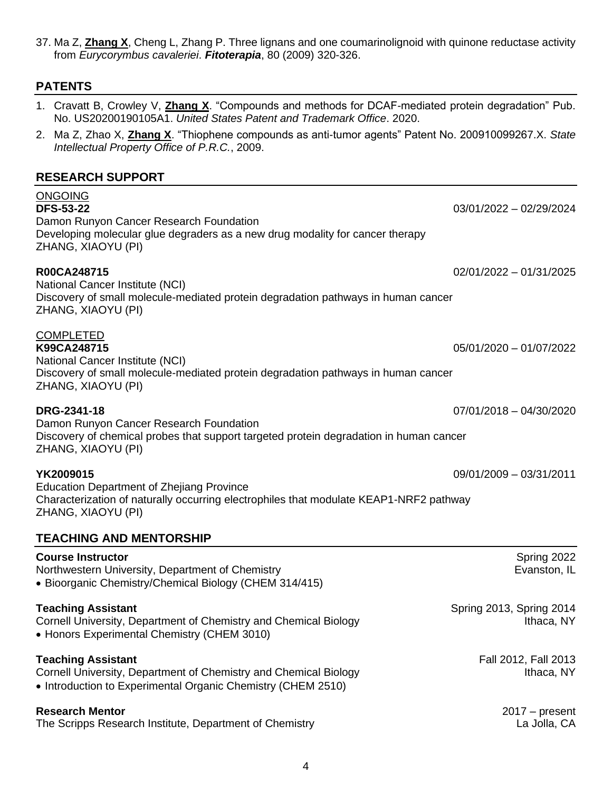4

# COMPLETED **K99CA248715** 05/01/2020 – 01/07/2022 **DRG-2341-18** 07/01/2018 – 04/30/2020 **YK2009015** 09/01/2009 – 03/31/2011 **Course Instructor** Spring 2022 Northwestern University, Department of Chemistry **Example 2018** Evanston, IL • Bioorganic Chemistry/Chemical Biology (CHEM 314/415) **Teaching Assistant** Spring 2014 **Spring 2014** Cornell University, Department of Chemistry and Chemical Biology **Internal Acceleration** Ithaca, NY • Honors Experimental Chemistry (CHEM 3010) **Teaching Assistant Fall 2012, Fall 2013** Cornell University, Department of Chemistry and Chemical Biology **Internal Connect Connect Act Act Act Act Act A** • Introduction to Experimental Organic Chemistry (CHEM 2510) **Research Mentor** 2017 – present The Scripps Research Institute, Department of Chemistry **Late and Container and CA** Jolla, CA

# **R00CA248715** 02/01/2022 – 01/31/2025

National Cancer Institute (NCI) Discovery of small molecule-mediated protein degradation pathways in human cancer ZHANG, XIAOYU (PI)

National Cancer Institute (NCI) Discovery of small molecule-mediated protein degradation pathways in human cancer ZHANG, XIAOYU (PI)

Damon Runyon Cancer Research Foundation Discovery of chemical probes that support targeted protein degradation in human cancer ZHANG, XIAOYU (PI)

Education Department of Zhejiang Province Characterization of naturally occurring electrophiles that modulate KEAP1-NRF2 pathway ZHANG, XIAOYU (PI)

# **TEACHING AND MENTORSHIP**

# ONGOING **DFS-53-22** 03/01/2022 – 02/29/2024

*Intellectual Property Office of P.R.C.*, 2009.

Damon Runyon Cancer Research Foundation Developing molecular glue degraders as a new drug modality for cancer therapy ZHANG, XIAOYU (PI)

# 1. Cravatt B, Crowley V, **Zhang X**. "Compounds and methods for DCAF-mediated protein degradation" Pub. No. US20200190105A1. *United States Patent and Trademark Office*. 2020.

# 2. Ma Z, Zhao X, **Zhang X**. "Thiophene compounds as anti-tumor agents" Patent No. 200910099267.X. *State*

# **RESEARCH SUPPORT**

**PATENTS**

37. Ma Z, **Zhang X**, Cheng L, Zhang P. Three lignans and one coumarinolignoid with quinone reductase activity from *Eurycorymbus cavaleriei*. *Fitoterapia*, 80 (2009) 320-326.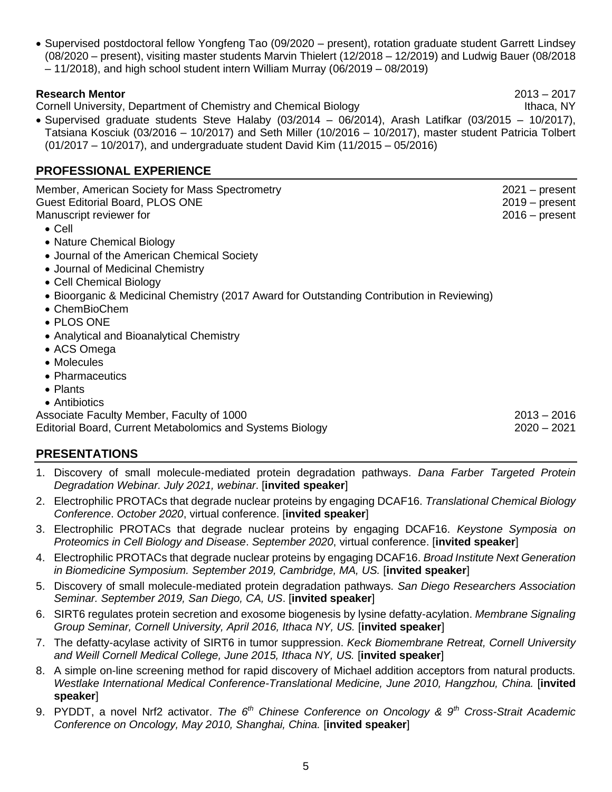• Supervised postdoctoral fellow Yongfeng Tao (09/2020 – present), rotation graduate student Garrett Lindsey (08/2020 – present), visiting master students Marvin Thielert (12/2018 – 12/2019) and Ludwig Bauer (08/2018 – 11/2018), and high school student intern William Murray (06/2019 – 08/2019)

### **Research Mentor** 2013 – 2017

Cornell University, Department of Chemistry and Chemical Biology **Internal Acceleration** Ithaca, NY

• Supervised graduate students Steve Halaby (03/2014 – 06/2014), Arash Latifkar (03/2015 – 10/2017), Tatsiana Kosciuk (03/2016 – 10/2017) and Seth Miller (10/2016 – 10/2017), master student Patricia Tolbert (01/2017 – 10/2017), and undergraduate student David Kim (11/2015 – 05/2016)

# **PROFESSIONAL EXPERIENCE**

| Member, American Society for Mass Spectrometry<br><b>Guest Editorial Board, PLOS ONE</b><br>Manuscript reviewer for | $2021 - present$<br>$2019 - present$<br>$2016 - present$ |
|---------------------------------------------------------------------------------------------------------------------|----------------------------------------------------------|
| $\bullet$ Cell<br>• Nature Chemical Biology                                                                         |                                                          |
| • Journal of the American Chemical Society                                                                          |                                                          |
| • Journal of Medicinal Chemistry                                                                                    |                                                          |
| • Cell Chemical Biology                                                                                             |                                                          |
| • Bioorganic & Medicinal Chemistry (2017 Award for Outstanding Contribution in Reviewing)                           |                                                          |
| • ChemBioChem                                                                                                       |                                                          |
| • PLOS ONE                                                                                                          |                                                          |
| • Analytical and Bioanalytical Chemistry                                                                            |                                                          |
| • ACS Omega                                                                                                         |                                                          |
| • Molecules                                                                                                         |                                                          |
| • Pharmaceutics                                                                                                     |                                                          |
| • Plants                                                                                                            |                                                          |
| • Antibiotics                                                                                                       |                                                          |
| Associate Faculty Member, Faculty of 1000                                                                           | $2013 - 2016$                                            |
| <b>Editorial Board, Current Metabolomics and Systems Biology</b>                                                    | 2020 – 2021                                              |
| <b>PRESENTATIONS</b>                                                                                                |                                                          |
|                                                                                                                     |                                                          |

- 1. Discovery of small molecule-mediated protein degradation pathways. *Dana Farber Targeted Protein Degradation Webinar. July 2021, webinar*. [**invited speaker**]
- 2. Electrophilic PROTACs that degrade nuclear proteins by engaging DCAF16. *Translational Chemical Biology Conference*. *October 2020*, virtual conference. [**invited speaker**]
- 3. Electrophilic PROTACs that degrade nuclear proteins by engaging DCAF16. *Keystone Symposia on Proteomics in Cell Biology and Disease*. *September 2020*, virtual conference. [**invited speaker**]
- 4. Electrophilic PROTACs that degrade nuclear proteins by engaging DCAF16. *Broad Institute Next Generation in Biomedicine Symposium. September 2019, Cambridge, MA, US.* [**invited speaker**]
- 5. Discovery of small molecule-mediated protein degradation pathways. *San Diego Researchers Association Seminar. September 2019, San Diego, CA, US*. [**invited speaker**]
- 6. SIRT6 regulates protein secretion and exosome biogenesis by lysine defatty-acylation. *Membrane Signaling Group Seminar, Cornell University, April 2016, Ithaca NY, US.* [**invited speaker**]
- 7. The defatty-acylase activity of SIRT6 in tumor suppression. *Keck Biomembrane Retreat, Cornell University and Weill Cornell Medical College, June 2015, Ithaca NY, US.* [**invited speaker**]
- 8. A simple on-line screening method for rapid discovery of Michael addition acceptors from natural products. *Westlake International Medical Conference-Translational Medicine, June 2010, Hangzhou, China.* [**invited speaker**]
- 9. PYDDT, a novel Nrf2 activator. *The 6th Chinese Conference on Oncology & 9th Cross-Strait Academic Conference on Oncology, May 2010, Shanghai, China.* [**invited speaker**]